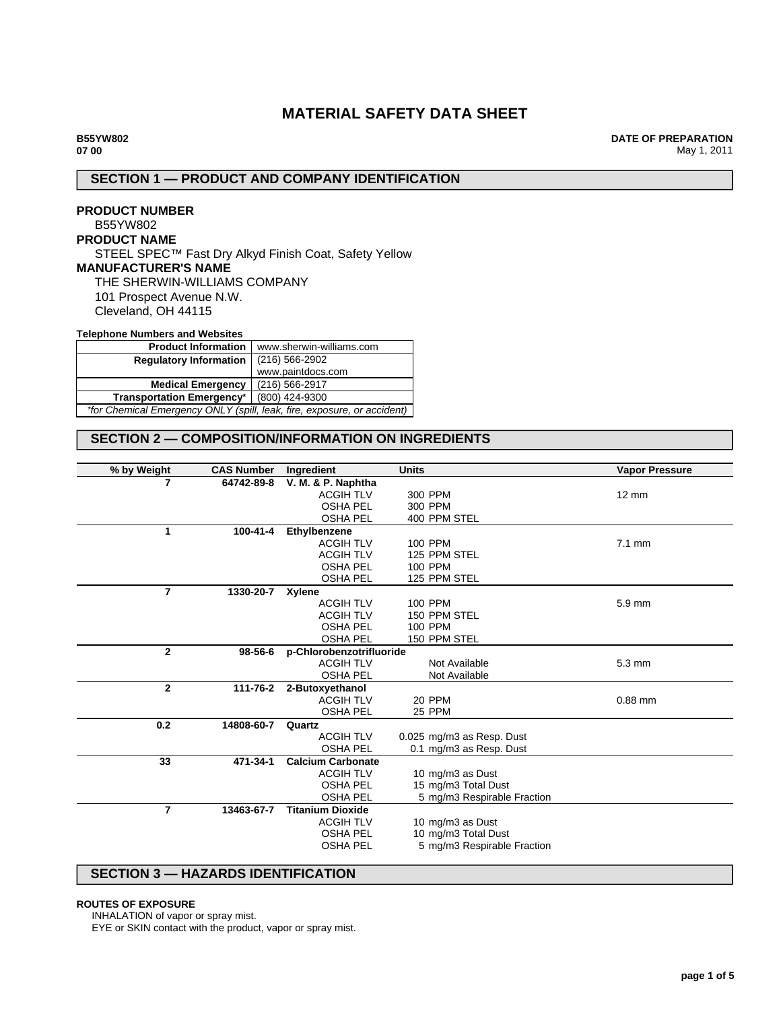# **MATERIAL SAFETY DATA SHEET**

**DATE OF PREPARATION** May 1, 2011

# **SECTION 1 — PRODUCT AND COMPANY IDENTIFICATION**

## **PRODUCT NUMBER** B55YW802 **PRODUCT NAME** STEEL SPEC™ Fast Dry Alkyd Finish Coat, Safety Yellow **MANUFACTURER'S NAME** THE SHERWIN-WILLIAMS COMPANY 101 Prospect Avenue N.W. Cleveland, OH 44115

### **Telephone Numbers and Websites**

| <b>Product Information</b>                                              | www.sherwin-williams.com |  |
|-------------------------------------------------------------------------|--------------------------|--|
| <b>Requlatory Information</b>                                           | $(216)$ 566-2902         |  |
|                                                                         | www.paintdocs.com        |  |
| <b>Medical Emergency</b>                                                | (216) 566-2917           |  |
| <b>Transportation Emergency*</b>                                        | (800) 424-9300           |  |
| *for Chemical Emergency ONLY (spill, leak, fire, exposure, or accident) |                          |  |

# **SECTION 2 — COMPOSITION/INFORMATION ON INGREDIENTS**

| % by Weight    | <b>CAS Number</b> | Ingredient               | <b>Units</b>                | <b>Vapor Pressure</b> |
|----------------|-------------------|--------------------------|-----------------------------|-----------------------|
| 7              | 64742-89-8        | V. M. & P. Naphtha       |                             |                       |
|                |                   | <b>ACGIH TLV</b>         | 300 PPM                     | $12 \text{ mm}$       |
|                |                   | <b>OSHA PEL</b>          | 300 PPM                     |                       |
|                |                   | <b>OSHA PEL</b>          | 400 PPM STEL                |                       |
| 1              | 100-41-4          | Ethylbenzene             |                             |                       |
|                |                   | <b>ACGIH TLV</b>         | 100 PPM                     | $7.1 \text{ mm}$      |
|                |                   | <b>ACGIH TLV</b>         | 125 PPM STEL                |                       |
|                |                   | <b>OSHA PEL</b>          | 100 PPM                     |                       |
|                |                   | <b>OSHA PEL</b>          | 125 PPM STEL                |                       |
| $\overline{7}$ | 1330-20-7         | Xylene                   |                             |                       |
|                |                   | <b>ACGIH TLV</b>         | <b>100 PPM</b>              | 5.9 mm                |
|                |                   | <b>ACGIH TLV</b>         | 150 PPM STEL                |                       |
|                |                   | <b>OSHA PEL</b>          | 100 PPM                     |                       |
|                |                   | <b>OSHA PEL</b>          | 150 PPM STEL                |                       |
| $\mathbf{2}$   | 98-56-6           | p-Chlorobenzotrifluoride |                             |                       |
|                |                   | <b>ACGIH TLV</b>         | Not Available               | $5.3 \text{ mm}$      |
|                |                   | <b>OSHA PEL</b>          | Not Available               |                       |
| $\mathbf{2}$   | 111-76-2          | 2-Butoxyethanol          |                             |                       |
|                |                   | <b>ACGIH TLV</b>         | 20 PPM                      | $0.88$ mm             |
|                |                   | <b>OSHA PEL</b>          | <b>25 PPM</b>               |                       |
| 0.2            | 14808-60-7        | Quartz                   |                             |                       |
|                |                   | <b>ACGIH TLV</b>         | 0.025 mg/m3 as Resp. Dust   |                       |
|                |                   | <b>OSHA PEL</b>          | 0.1 mg/m3 as Resp. Dust     |                       |
| 33             | 471-34-1          | <b>Calcium Carbonate</b> |                             |                       |
|                |                   | <b>ACGIH TLV</b>         | 10 mg/m3 as Dust            |                       |
|                |                   | <b>OSHA PEL</b>          | 15 mg/m3 Total Dust         |                       |
|                |                   | <b>OSHA PEL</b>          | 5 mg/m3 Respirable Fraction |                       |
| $\overline{7}$ | 13463-67-7        | <b>Titanium Dioxide</b>  |                             |                       |
|                |                   | <b>ACGIH TLV</b>         | 10 mg/m3 as Dust            |                       |
|                |                   | <b>OSHA PEL</b>          | 10 mg/m3 Total Dust         |                       |
|                |                   | <b>OSHA PEL</b>          | 5 mg/m3 Respirable Fraction |                       |
|                |                   |                          |                             |                       |

## **SECTION 3 — HAZARDS IDENTIFICATION**

### **ROUTES OF EXPOSURE**

INHALATION of vapor or spray mist.

EYE or SKIN contact with the product, vapor or spray mist.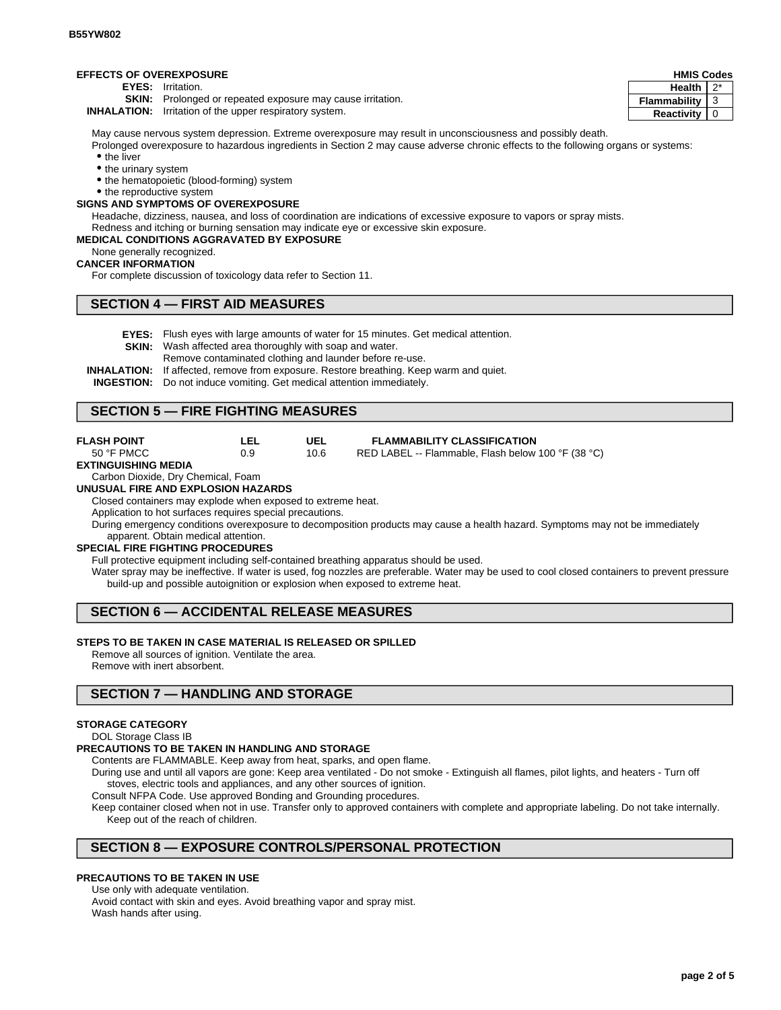### **EFFECTS OF OVEREXPOSURE**

**EYES:** Irritation.

**SKIN:** Prolonged or repeated exposure may cause irritation.

**INHALATION:** Irritation of the upper respiratory system.

May cause nervous system depression. Extreme overexposure may result in unconsciousness and possibly death.

Prolonged overexposure to hazardous ingredients in Section 2 may cause adverse chronic effects to the following organs or systems: • the liver

- the urinary system
- the hematopoietic (blood-forming) system

• the reproductive system

## **SIGNS AND SYMPTOMS OF OVEREXPOSURE**

Headache, dizziness, nausea, and loss of coordination are indications of excessive exposure to vapors or spray mists. Redness and itching or burning sensation may indicate eye or excessive skin exposure.

### **MEDICAL CONDITIONS AGGRAVATED BY EXPOSURE**

None generally recognized.

#### **CANCER INFORMATION**

For complete discussion of toxicology data refer to Section 11.

### **SECTION 4 — FIRST AID MEASURES**

- **EYES:** Flush eyes with large amounts of water for 15 minutes. Get medical attention.
- **SKIN:** Wash affected area thoroughly with soap and water.
	- Remove contaminated clothing and launder before re-use.
- **INHALATION:** If affected, remove from exposure. Restore breathing. Keep warm and quiet.
- **INGESTION:** Do not induce vomiting. Get medical attention immediately.

## **SECTION 5 — FIRE FIGHTING MEASURES**

| <b>FLASH POINT</b> | LEL | UEL  | <b>FLAMMABILITY CLASSIFICATION</b>                 |
|--------------------|-----|------|----------------------------------------------------|
| 50 °F PMCC         | 0.9 | 10.6 | RED LABEL -- Flammable, Flash below 100 °F (38 °C) |

#### **EXTINGUISHING MEDIA**

## Carbon Dioxide, Dry Chemical, Foam

**UNUSUAL FIRE AND EXPLOSION HAZARDS**

Closed containers may explode when exposed to extreme heat.

Application to hot surfaces requires special precautions.

During emergency conditions overexposure to decomposition products may cause a health hazard. Symptoms may not be immediately apparent. Obtain medical attention.

#### **SPECIAL FIRE FIGHTING PROCEDURES**

Full protective equipment including self-contained breathing apparatus should be used.

Water spray may be ineffective. If water is used, fog nozzles are preferable. Water may be used to cool closed containers to prevent pressure build-up and possible autoignition or explosion when exposed to extreme heat.

## **SECTION 6 — ACCIDENTAL RELEASE MEASURES**

### **STEPS TO BE TAKEN IN CASE MATERIAL IS RELEASED OR SPILLED**

Remove all sources of ignition. Ventilate the area. Remove with inert absorbent.

## **SECTION 7 — HANDLING AND STORAGE**

### **STORAGE CATEGORY**

## DOL Storage Class IB

#### **PRECAUTIONS TO BE TAKEN IN HANDLING AND STORAGE**

Contents are FLAMMABLE. Keep away from heat, sparks, and open flame.

During use and until all vapors are gone: Keep area ventilated - Do not smoke - Extinguish all flames, pilot lights, and heaters - Turn off stoves, electric tools and appliances, and any other sources of ignition.

Consult NFPA Code. Use approved Bonding and Grounding procedures.

Keep container closed when not in use. Transfer only to approved containers with complete and appropriate labeling. Do not take internally. Keep out of the reach of children.

## **SECTION 8 — EXPOSURE CONTROLS/PERSONAL PROTECTION**

## **PRECAUTIONS TO BE TAKEN IN USE**

Use only with adequate ventilation.

Avoid contact with skin and eyes. Avoid breathing vapor and spray mist. Wash hands after using.

| <b>HMIS Codes</b> |   |  |
|-------------------|---|--|
| <b>Health</b>     |   |  |
| Flammability      | 3 |  |
| <b>Reactivity</b> | O |  |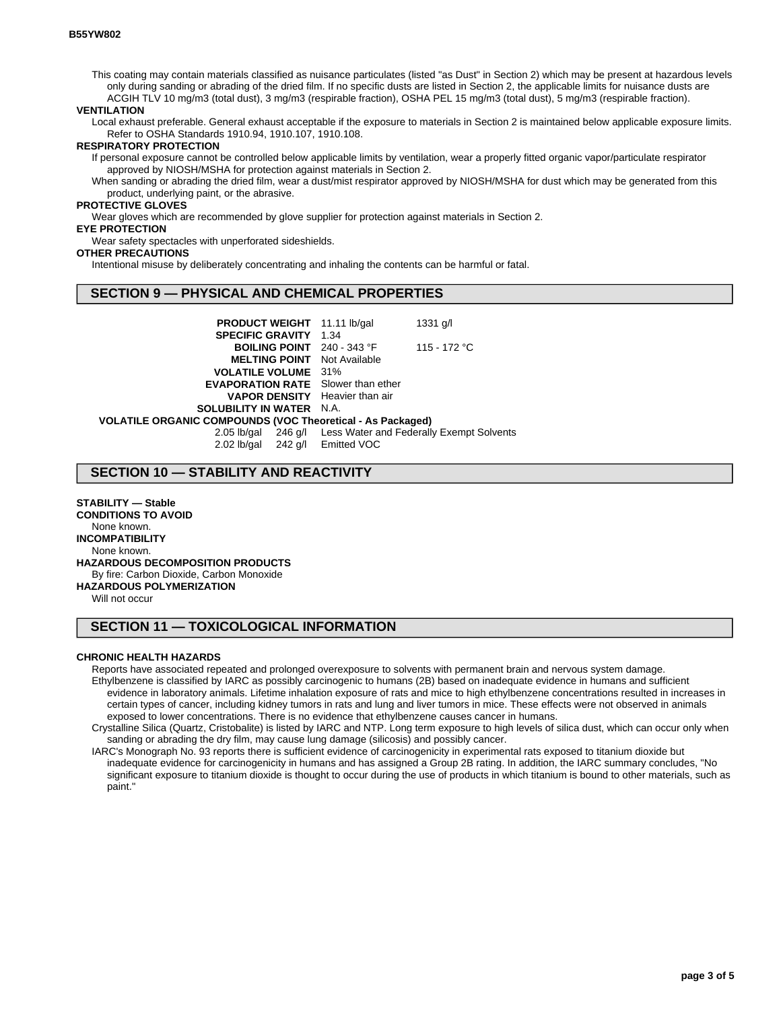This coating may contain materials classified as nuisance particulates (listed "as Dust" in Section 2) which may be present at hazardous levels only during sanding or abrading of the dried film. If no specific dusts are listed in Section 2, the applicable limits for nuisance dusts are ACGIH TLV 10 mg/m3 (total dust), 3 mg/m3 (respirable fraction), OSHA PEL 15 mg/m3 (total dust), 5 mg/m3 (respirable fraction).

#### **VENTILATION**

Local exhaust preferable. General exhaust acceptable if the exposure to materials in Section 2 is maintained below applicable exposure limits. Refer to OSHA Standards 1910.94, 1910.107, 1910.108.

#### **RESPIRATORY PROTECTION**

If personal exposure cannot be controlled below applicable limits by ventilation, wear a properly fitted organic vapor/particulate respirator approved by NIOSH/MSHA for protection against materials in Section 2.

When sanding or abrading the dried film, wear a dust/mist respirator approved by NIOSH/MSHA for dust which may be generated from this product, underlying paint, or the abrasive.

### **PROTECTIVE GLOVES**

Wear gloves which are recommended by glove supplier for protection against materials in Section 2.

### **EYE PROTECTION**

Wear safety spectacles with unperforated sideshields.

#### **OTHER PRECAUTIONS**

Intentional misuse by deliberately concentrating and inhaling the contents can be harmful or fatal.

## **SECTION 9 — PHYSICAL AND CHEMICAL PROPERTIES**

**PRODUCT WEIGHT** 11.11 lb/gal 1331 g/l **SPECIFIC GRAVITY** 1.34 **BOILING POINT** 240 - 343 °F 115 - 172 °C **MELTING POINT** Not Available **VOLATILE VOLUME** 31% **EVAPORATION RATE** Slower than ether **VAPOR DENSITY** Heavier than air **SOLUBILITY IN WATER** N.A. **VOLATILE ORGANIC COMPOUNDS (VOC Theoretical - As Packaged)** 2.05 lb/gal 246 g/l Less Water and Federally Exempt Solvents

2.02 lb/gal 242 g/l Emitted VOC

### **SECTION 10 — STABILITY AND REACTIVITY**

**STABILITY — Stable CONDITIONS TO AVOID** None known. **INCOMPATIBILITY** None known. **HAZARDOUS DECOMPOSITION PRODUCTS** By fire: Carbon Dioxide, Carbon Monoxide **HAZARDOUS POLYMERIZATION**

Will not occur

# **SECTION 11 — TOXICOLOGICAL INFORMATION**

#### **CHRONIC HEALTH HAZARDS**

Reports have associated repeated and prolonged overexposure to solvents with permanent brain and nervous system damage. Ethylbenzene is classified by IARC as possibly carcinogenic to humans (2B) based on inadequate evidence in humans and sufficient evidence in laboratory animals. Lifetime inhalation exposure of rats and mice to high ethylbenzene concentrations resulted in increases in certain types of cancer, including kidney tumors in rats and lung and liver tumors in mice. These effects were not observed in animals exposed to lower concentrations. There is no evidence that ethylbenzene causes cancer in humans.

Crystalline Silica (Quartz, Cristobalite) is listed by IARC and NTP. Long term exposure to high levels of silica dust, which can occur only when sanding or abrading the dry film, may cause lung damage (silicosis) and possibly cancer.

IARC's Monograph No. 93 reports there is sufficient evidence of carcinogenicity in experimental rats exposed to titanium dioxide but inadequate evidence for carcinogenicity in humans and has assigned a Group 2B rating. In addition, the IARC summary concludes, "No significant exposure to titanium dioxide is thought to occur during the use of products in which titanium is bound to other materials, such as paint."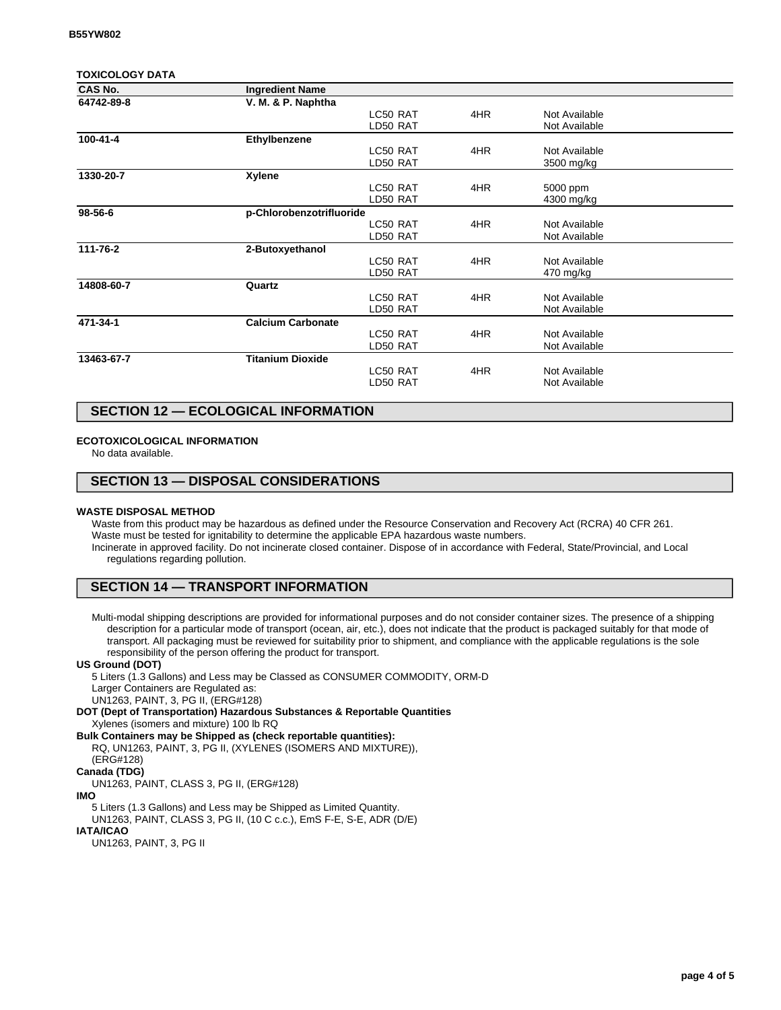### **TOXICOLOGY DATA**

| <b>CAS No.</b> | <b>Ingredient Name</b>   |          |     |               |  |
|----------------|--------------------------|----------|-----|---------------|--|
| 64742-89-8     | V. M. & P. Naphtha       |          |     |               |  |
|                |                          | LC50 RAT | 4HR | Not Available |  |
|                |                          | LD50 RAT |     | Not Available |  |
| 100-41-4       | Ethylbenzene             |          |     |               |  |
|                |                          | LC50 RAT | 4HR | Not Available |  |
|                |                          | LD50 RAT |     | 3500 mg/kg    |  |
| 1330-20-7      | Xylene                   |          |     |               |  |
|                |                          | LC50 RAT | 4HR | 5000 ppm      |  |
|                |                          | LD50 RAT |     | 4300 mg/kg    |  |
| 98-56-6        | p-Chlorobenzotrifluoride |          |     |               |  |
|                |                          | LC50 RAT | 4HR | Not Available |  |
|                |                          | LD50 RAT |     | Not Available |  |
| 111-76-2       | 2-Butoxyethanol          |          |     |               |  |
|                |                          | LC50 RAT | 4HR | Not Available |  |
|                |                          | LD50 RAT |     | 470 mg/kg     |  |
| 14808-60-7     | Quartz                   |          |     |               |  |
|                |                          | LC50 RAT | 4HR | Not Available |  |
|                |                          | LD50 RAT |     | Not Available |  |
| 471-34-1       | <b>Calcium Carbonate</b> |          |     |               |  |
|                |                          | LC50 RAT | 4HR | Not Available |  |
|                |                          | LD50 RAT |     | Not Available |  |
| 13463-67-7     | <b>Titanium Dioxide</b>  |          |     |               |  |
|                |                          | LC50 RAT | 4HR | Not Available |  |
|                |                          | LD50 RAT |     | Not Available |  |
|                |                          |          |     |               |  |

## **SECTION 12 — ECOLOGICAL INFORMATION**

### **ECOTOXICOLOGICAL INFORMATION**

No data available.

## **SECTION 13 — DISPOSAL CONSIDERATIONS**

#### **WASTE DISPOSAL METHOD**

Waste from this product may be hazardous as defined under the Resource Conservation and Recovery Act (RCRA) 40 CFR 261. Waste must be tested for ignitability to determine the applicable EPA hazardous waste numbers. Incinerate in approved facility. Do not incinerate closed container. Dispose of in accordance with Federal, State/Provincial, and Local regulations regarding pollution.

## **SECTION 14 — TRANSPORT INFORMATION**

Multi-modal shipping descriptions are provided for informational purposes and do not consider container sizes. The presence of a shipping description for a particular mode of transport (ocean, air, etc.), does not indicate that the product is packaged suitably for that mode of transport. All packaging must be reviewed for suitability prior to shipment, and compliance with the applicable regulations is the sole responsibility of the person offering the product for transport.

#### **US Ground (DOT)**

5 Liters (1.3 Gallons) and Less may be Classed as CONSUMER COMMODITY, ORM-D Larger Containers are Regulated as:

UN1263, PAINT, 3, PG II, (ERG#128)

**DOT (Dept of Transportation) Hazardous Substances & Reportable Quantities** Xylenes (isomers and mixture) 100 lb RQ

**Bulk Containers may be Shipped as (check reportable quantities):**

RQ, UN1263, PAINT, 3, PG II, (XYLENES (ISOMERS AND MIXTURE)), (ERG#128)

# **Canada (TDG)**

UN1263, PAINT, CLASS 3, PG II, (ERG#128)

**IMO**

5 Liters (1.3 Gallons) and Less may be Shipped as Limited Quantity. UN1263, PAINT, CLASS 3, PG II, (10 C c.c.), EmS F-E, S-E, ADR (D/E)

# **IATA/ICAO**

UN1263, PAINT, 3, PG II